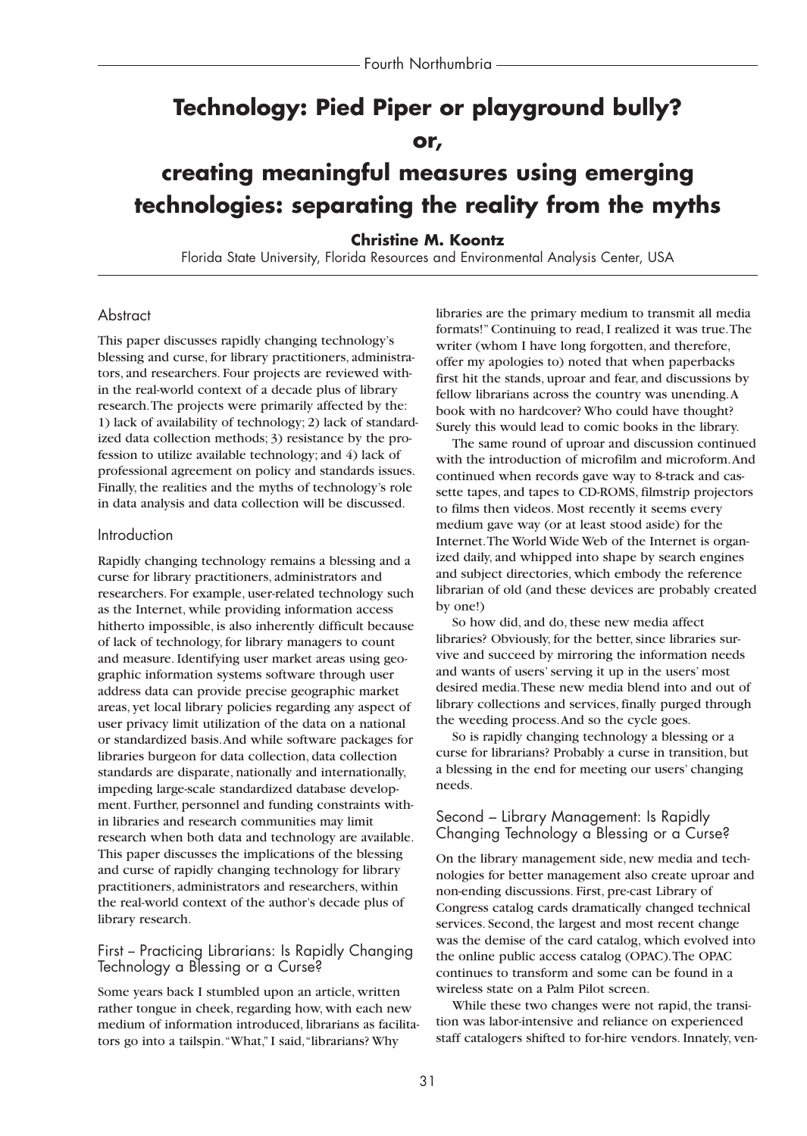# **Technology: Pied Piper or playground bully?**

## **or,**

# **creating meaningful measures using emerging technologies: separating the reality from the myths**

### **Christine M. Koontz**

Florida State University, Florida Resources and Environmental Analysis Center, USA

### **Abstract**

This paper discusses rapidly changing technology's blessing and curse, for library practitioners, administrators, and researchers. Four projects are reviewed within the real-world context of a decade plus of library research.The projects were primarily affected by the: 1) lack of availability of technology; 2) lack of standardized data collection methods; 3) resistance by the profession to utilize available technology; and 4) lack of professional agreement on policy and standards issues. Finally, the realities and the myths of technology's role in data analysis and data collection will be discussed.

#### Introduction

Rapidly changing technology remains a blessing and a curse for library practitioners, administrators and researchers. For example, user-related technology such as the Internet, while providing information access hitherto impossible, is also inherently difficult because of lack of technology, for library managers to count and measure. Identifying user market areas using geographic information systems software through user address data can provide precise geographic market areas, yet local library policies regarding any aspect of user privacy limit utilization of the data on a national or standardized basis.And while software packages for libraries burgeon for data collection, data collection standards are disparate, nationally and internationally, impeding large-scale standardized database development. Further, personnel and funding constraints within libraries and research communities may limit research when both data and technology are available. This paper discusses the implications of the blessing and curse of rapidly changing technology for library practitioners, administrators and researchers, within the real-world context of the author's decade plus of library research.

### First - Practicing Librarians: Is Rapidly Changing Technology a Blessing or a Curse?

Some years back I stumbled upon an article, written rather tongue in cheek, regarding how, with each new medium of information introduced, librarians as facilitators go into a tailspin."What," I said,"librarians? Why

libraries are the primary medium to transmit all media formats!" Continuing to read, I realized it was true.The writer (whom I have long forgotten, and therefore, offer my apologies to) noted that when paperbacks first hit the stands, uproar and fear, and discussions by fellow librarians across the country was unending.A book with no hardcover? Who could have thought? Surely this would lead to comic books in the library.

The same round of uproar and discussion continued with the introduction of microfilm and microform.And continued when records gave way to 8-track and cassette tapes, and tapes to CD-ROMS, filmstrip projectors to films then videos. Most recently it seems every medium gave way (or at least stood aside) for the Internet.The World Wide Web of the Internet is organized daily, and whipped into shape by search engines and subject directories, which embody the reference librarian of old (and these devices are probably created by one!)

So how did, and do, these new media affect libraries? Obviously, for the better, since libraries survive and succeed by mirroring the information needs and wants of users' serving it up in the users' most desired media.These new media blend into and out of library collections and services, finally purged through the weeding process.And so the cycle goes.

So is rapidly changing technology a blessing or a curse for librarians? Probably a curse in transition, but a blessing in the end for meeting our users' changing needs.

#### Second – Library Management: Is Rapidly Changing Technology a Blessing or a Curse?

On the library management side, new media and technologies for better management also create uproar and non-ending discussions. First, pre-cast Library of Congress catalog cards dramatically changed technical services. Second, the largest and most recent change was the demise of the card catalog, which evolved into the online public access catalog (OPAC).The OPAC continues to transform and some can be found in a wireless state on a Palm Pilot screen.

While these two changes were not rapid, the transition was labor-intensive and reliance on experienced staff catalogers shifted to for-hire vendors. Innately, ven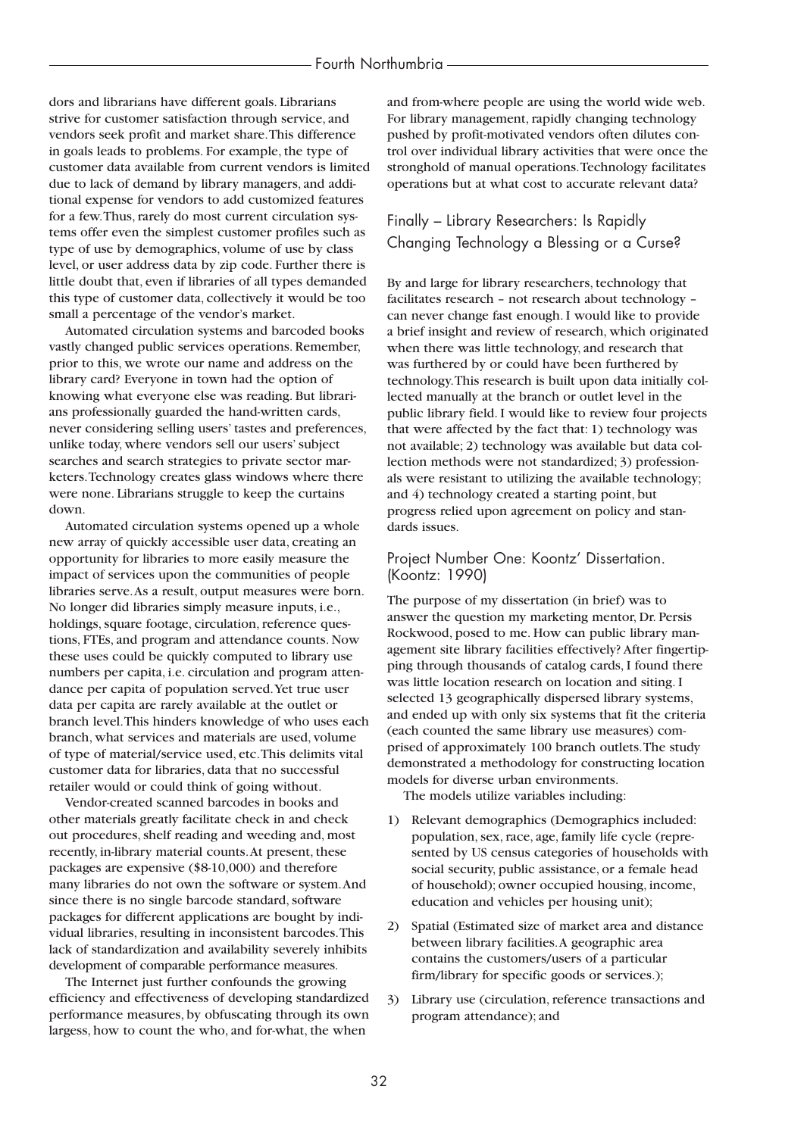dors and librarians have different goals. Librarians strive for customer satisfaction through service, and vendors seek profit and market share.This difference in goals leads to problems. For example, the type of customer data available from current vendors is limited due to lack of demand by library managers, and additional expense for vendors to add customized features for a few.Thus, rarely do most current circulation systems offer even the simplest customer profiles such as type of use by demographics, volume of use by class level, or user address data by zip code. Further there is little doubt that, even if libraries of all types demanded this type of customer data, collectively it would be too small a percentage of the vendor's market.

Automated circulation systems and barcoded books vastly changed public services operations. Remember, prior to this, we wrote our name and address on the library card? Everyone in town had the option of knowing what everyone else was reading. But librarians professionally guarded the hand-written cards, never considering selling users' tastes and preferences, unlike today, where vendors sell our users' subject searches and search strategies to private sector marketers.Technology creates glass windows where there were none. Librarians struggle to keep the curtains down.

Automated circulation systems opened up a whole new array of quickly accessible user data, creating an opportunity for libraries to more easily measure the impact of services upon the communities of people libraries serve.As a result, output measures were born. No longer did libraries simply measure inputs, i.e., holdings, square footage, circulation, reference questions, FTEs, and program and attendance counts. Now these uses could be quickly computed to library use numbers per capita, i.e. circulation and program attendance per capita of population served.Yet true user data per capita are rarely available at the outlet or branch level.This hinders knowledge of who uses each branch, what services and materials are used, volume of type of material/service used, etc.This delimits vital customer data for libraries, data that no successful retailer would or could think of going without.

Vendor-created scanned barcodes in books and other materials greatly facilitate check in and check out procedures, shelf reading and weeding and, most recently, in-library material counts.At present, these packages are expensive (\$8-10,000) and therefore many libraries do not own the software or system.And since there is no single barcode standard, software packages for different applications are bought by individual libraries, resulting in inconsistent barcodes.This lack of standardization and availability severely inhibits development of comparable performance measures.

The Internet just further confounds the growing efficiency and effectiveness of developing standardized performance measures, by obfuscating through its own largess, how to count the who, and for-what, the when

and from-where people are using the world wide web. For library management, rapidly changing technology pushed by profit-motivated vendors often dilutes control over individual library activities that were once the stronghold of manual operations.Technology facilitates operations but at what cost to accurate relevant data?

## Finally – Library Researchers: Is Rapidly Changing Technology a Blessing or a Curse?

By and large for library researchers, technology that facilitates research – not research about technology – can never change fast enough. I would like to provide a brief insight and review of research, which originated when there was little technology, and research that was furthered by or could have been furthered by technology.This research is built upon data initially collected manually at the branch or outlet level in the public library field. I would like to review four projects that were affected by the fact that: 1) technology was not available; 2) technology was available but data collection methods were not standardized; 3) professionals were resistant to utilizing the available technology; and 4) technology created a starting point, but progress relied upon agreement on policy and standards issues.

#### Project Number One: Koontz' Dissertation. (Koontz: 1990)

The purpose of my dissertation (in brief) was to answer the question my marketing mentor, Dr. Persis Rockwood, posed to me. How can public library management site library facilities effectively? After fingertipping through thousands of catalog cards, I found there was little location research on location and siting. I selected 13 geographically dispersed library systems, and ended up with only six systems that fit the criteria (each counted the same library use measures) comprised of approximately 100 branch outlets.The study demonstrated a methodology for constructing location models for diverse urban environments.

The models utilize variables including:

- 1) Relevant demographics (Demographics included: population, sex, race, age, family life cycle (represented by US census categories of households with social security, public assistance, or a female head of household); owner occupied housing, income, education and vehicles per housing unit);
- 2) Spatial (Estimated size of market area and distance between library facilities.A geographic area contains the customers/users of a particular firm/library for specific goods or services.);
- 3) Library use (circulation, reference transactions and program attendance); and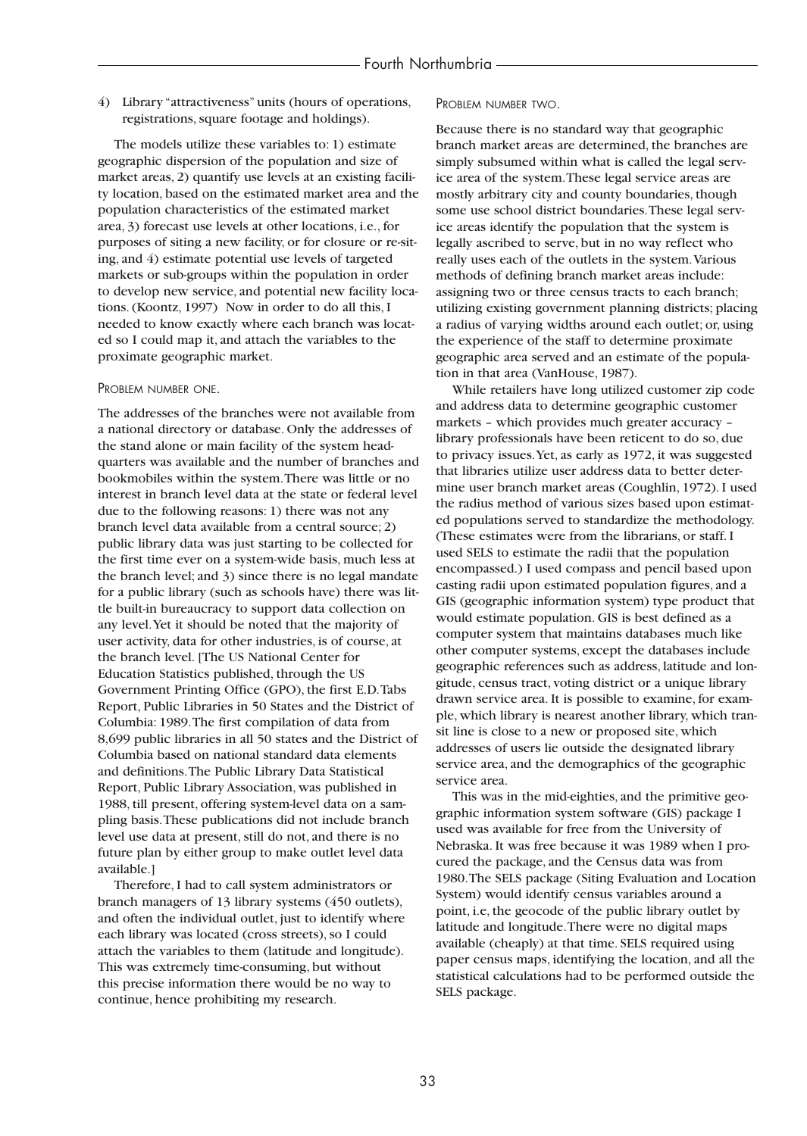4) Library "attractiveness" units (hours of operations, registrations, square footage and holdings).

The models utilize these variables to: 1) estimate geographic dispersion of the population and size of market areas, 2) quantify use levels at an existing facility location, based on the estimated market area and the population characteristics of the estimated market area, 3) forecast use levels at other locations, i.e., for purposes of siting a new facility, or for closure or re-siting, and 4) estimate potential use levels of targeted markets or sub-groups within the population in order to develop new service, and potential new facility locations. (Koontz, 1997) Now in order to do all this, I needed to know exactly where each branch was located so I could map it, and attach the variables to the proximate geographic market.

#### PROBLEM NUMBER ONE.

The addresses of the branches were not available from a national directory or database. Only the addresses of the stand alone or main facility of the system headquarters was available and the number of branches and bookmobiles within the system.There was little or no interest in branch level data at the state or federal level due to the following reasons: 1) there was not any branch level data available from a central source; 2) public library data was just starting to be collected for the first time ever on a system-wide basis, much less at the branch level; and 3) since there is no legal mandate for a public library (such as schools have) there was little built-in bureaucracy to support data collection on any level.Yet it should be noted that the majority of user activity, data for other industries, is of course, at the branch level. [The US National Center for Education Statistics published, through the US Government Printing Office (GPO), the first E.D.Tabs Report, Public Libraries in 50 States and the District of Columbia: 1989.The first compilation of data from 8,699 public libraries in all 50 states and the District of Columbia based on national standard data elements and definitions.The Public Library Data Statistical Report, Public Library Association, was published in 1988, till present, offering system-level data on a sampling basis.These publications did not include branch level use data at present, still do not, and there is no future plan by either group to make outlet level data available.]

Therefore, I had to call system administrators or branch managers of 13 library systems (450 outlets), and often the individual outlet, just to identify where each library was located (cross streets), so I could attach the variables to them (latitude and longitude). This was extremely time-consuming, but without this precise information there would be no way to continue, hence prohibiting my research.

#### PROBLEM NUMBER TWO.

Because there is no standard way that geographic branch market areas are determined, the branches are simply subsumed within what is called the legal service area of the system.These legal service areas are mostly arbitrary city and county boundaries, though some use school district boundaries.These legal service areas identify the population that the system is legally ascribed to serve, but in no way reflect who really uses each of the outlets in the system.Various methods of defining branch market areas include: assigning two or three census tracts to each branch; utilizing existing government planning districts; placing a radius of varying widths around each outlet; or, using the experience of the staff to determine proximate geographic area served and an estimate of the population in that area (VanHouse, 1987).

While retailers have long utilized customer zip code and address data to determine geographic customer markets – which provides much greater accuracy – library professionals have been reticent to do so, due to privacy issues.Yet, as early as 1972, it was suggested that libraries utilize user address data to better determine user branch market areas (Coughlin, 1972). I used the radius method of various sizes based upon estimated populations served to standardize the methodology. (These estimates were from the librarians, or staff. I used SELS to estimate the radii that the population encompassed.) I used compass and pencil based upon casting radii upon estimated population figures, and a GIS (geographic information system) type product that would estimate population. GIS is best defined as a computer system that maintains databases much like other computer systems, except the databases include geographic references such as address, latitude and longitude, census tract, voting district or a unique library drawn service area. It is possible to examine, for example, which library is nearest another library, which transit line is close to a new or proposed site, which addresses of users lie outside the designated library service area, and the demographics of the geographic service area.

This was in the mid-eighties, and the primitive geographic information system software (GIS) package I used was available for free from the University of Nebraska. It was free because it was 1989 when I procured the package, and the Census data was from 1980.The SELS package (Siting Evaluation and Location System) would identify census variables around a point, i.e, the geocode of the public library outlet by latitude and longitude.There were no digital maps available (cheaply) at that time. SELS required using paper census maps, identifying the location, and all the statistical calculations had to be performed outside the SELS package.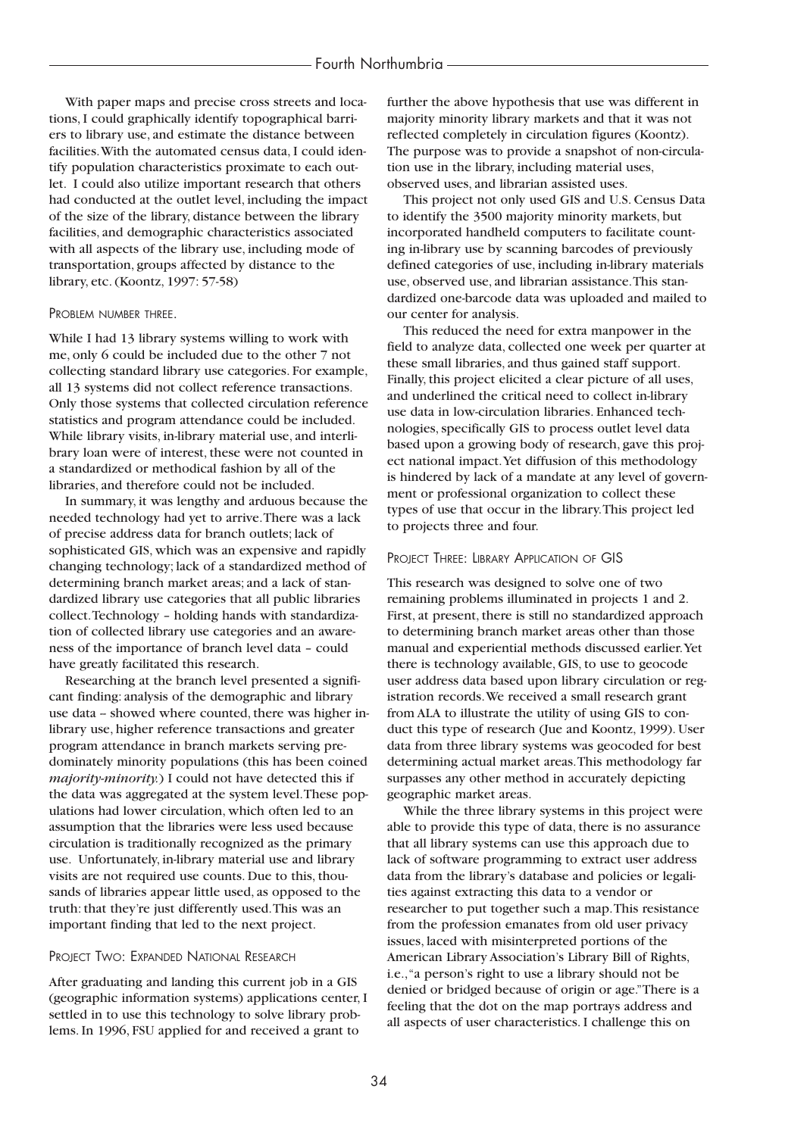#### Fourth Northumbria

With paper maps and precise cross streets and locations, I could graphically identify topographical barriers to library use, and estimate the distance between facilities.With the automated census data, I could identify population characteristics proximate to each outlet. I could also utilize important research that others had conducted at the outlet level, including the impact of the size of the library, distance between the library facilities, and demographic characteristics associated with all aspects of the library use, including mode of transportation, groups affected by distance to the library, etc. (Koontz, 1997: 57-58)

#### PROBLEM NUMBER THREE.

While I had 13 library systems willing to work with me, only 6 could be included due to the other 7 not collecting standard library use categories. For example, all 13 systems did not collect reference transactions. Only those systems that collected circulation reference statistics and program attendance could be included. While library visits, in-library material use, and interlibrary loan were of interest, these were not counted in a standardized or methodical fashion by all of the libraries, and therefore could not be included.

In summary, it was lengthy and arduous because the needed technology had yet to arrive.There was a lack of precise address data for branch outlets; lack of sophisticated GIS, which was an expensive and rapidly changing technology; lack of a standardized method of determining branch market areas; and a lack of standardized library use categories that all public libraries collect.Technology – holding hands with standardization of collected library use categories and an awareness of the importance of branch level data – could have greatly facilitated this research.

Researching at the branch level presented a significant finding: analysis of the demographic and library use data -- showed where counted, there was higher inlibrary use, higher reference transactions and greater program attendance in branch markets serving predominately minority populations (this has been coined *majority-minority.*) I could not have detected this if the data was aggregated at the system level.These populations had lower circulation, which often led to an assumption that the libraries were less used because circulation is traditionally recognized as the primary use. Unfortunately, in-library material use and library visits are not required use counts. Due to this, thousands of libraries appear little used, as opposed to the truth: that they're just differently used.This was an important finding that led to the next project.

#### PROJECT TWO: EXPANDED NATIONAL RESEARCH

After graduating and landing this current job in a GIS (geographic information systems) applications center, I settled in to use this technology to solve library problems. In 1996, FSU applied for and received a grant to

further the above hypothesis that use was different in majority minority library markets and that it was not reflected completely in circulation figures (Koontz). The purpose was to provide a snapshot of non-circulation use in the library, including material uses, observed uses, and librarian assisted uses.

This project not only used GIS and U.S. Census Data to identify the 3500 majority minority markets, but incorporated handheld computers to facilitate counting in-library use by scanning barcodes of previously defined categories of use, including in-library materials use, observed use, and librarian assistance.This standardized one-barcode data was uploaded and mailed to our center for analysis.

This reduced the need for extra manpower in the field to analyze data, collected one week per quarter at these small libraries, and thus gained staff support. Finally, this project elicited a clear picture of all uses, and underlined the critical need to collect in-library use data in low-circulation libraries. Enhanced technologies, specifically GIS to process outlet level data based upon a growing body of research, gave this project national impact.Yet diffusion of this methodology is hindered by lack of a mandate at any level of government or professional organization to collect these types of use that occur in the library.This project led to projects three and four.

#### PROJECT THREE: LIBRARY APPLICATION OF GIS

This research was designed to solve one of two remaining problems illuminated in projects 1 and 2. First, at present, there is still no standardized approach to determining branch market areas other than those manual and experiential methods discussed earlier.Yet there is technology available, GIS, to use to geocode user address data based upon library circulation or registration records.We received a small research grant from ALA to illustrate the utility of using GIS to conduct this type of research (Jue and Koontz, 1999). User data from three library systems was geocoded for best determining actual market areas.This methodology far surpasses any other method in accurately depicting geographic market areas.

While the three library systems in this project were able to provide this type of data, there is no assurance that all library systems can use this approach due to lack of software programming to extract user address data from the library's database and policies or legalities against extracting this data to a vendor or researcher to put together such a map.This resistance from the profession emanates from old user privacy issues, laced with misinterpreted portions of the American Library Association's Library Bill of Rights, i.e.,"a person's right to use a library should not be denied or bridged because of origin or age."There is a feeling that the dot on the map portrays address and all aspects of user characteristics. I challenge this on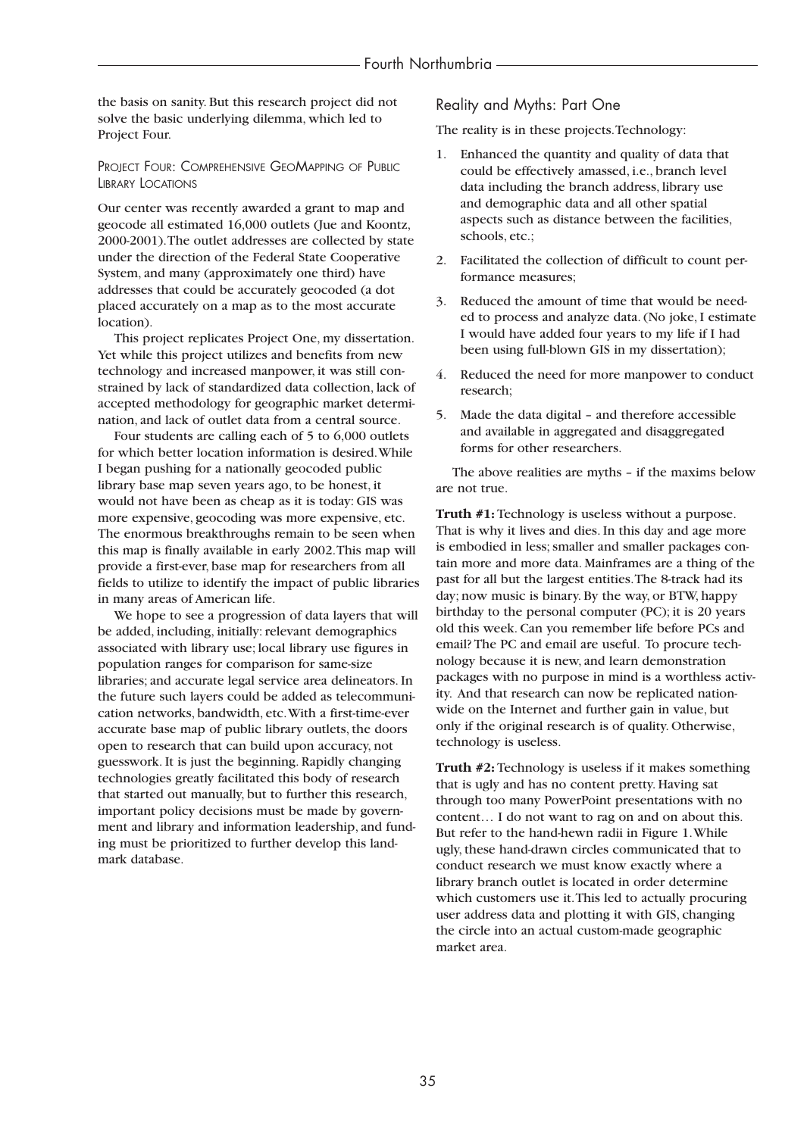the basis on sanity. But this research project did not solve the basic underlying dilemma, which led to Project Four.

PROJECT FOUR: COMPREHENSIVE GEOMAPPING OF PUBLIC LIBRARY LOCATIONS

Our center was recently awarded a grant to map and geocode all estimated 16,000 outlets (Jue and Koontz, 2000-2001).The outlet addresses are collected by state under the direction of the Federal State Cooperative System, and many (approximately one third) have addresses that could be accurately geocoded (a dot placed accurately on a map as to the most accurate location).

This project replicates Project One, my dissertation. Yet while this project utilizes and benefits from new technology and increased manpower, it was still constrained by lack of standardized data collection, lack of accepted methodology for geographic market determination, and lack of outlet data from a central source.

Four students are calling each of 5 to 6,000 outlets for which better location information is desired.While I began pushing for a nationally geocoded public library base map seven years ago, to be honest, it would not have been as cheap as it is today: GIS was more expensive, geocoding was more expensive, etc. The enormous breakthroughs remain to be seen when this map is finally available in early 2002.This map will provide a first-ever, base map for researchers from all fields to utilize to identify the impact of public libraries in many areas of American life.

We hope to see a progression of data layers that will be added, including, initially: relevant demographics associated with library use; local library use figures in population ranges for comparison for same-size libraries; and accurate legal service area delineators. In the future such layers could be added as telecommunication networks, bandwidth, etc.With a first-time-ever accurate base map of public library outlets, the doors open to research that can build upon accuracy, not guesswork. It is just the beginning. Rapidly changing technologies greatly facilitated this body of research that started out manually, but to further this research, important policy decisions must be made by government and library and information leadership, and funding must be prioritized to further develop this landmark database.

Reality and Myths: Part One

The reality is in these projects.Technology:

- 1. Enhanced the quantity and quality of data that could be effectively amassed, i.e., branch level data including the branch address, library use and demographic data and all other spatial aspects such as distance between the facilities, schools, etc.;
- 2. Facilitated the collection of difficult to count performance measures;
- 3. Reduced the amount of time that would be needed to process and analyze data. (No joke, I estimate I would have added four years to my life if I had been using full-blown GIS in my dissertation);
- 4. Reduced the need for more manpower to conduct research;
- 5. Made the data digital and therefore accessible and available in aggregated and disaggregated forms for other researchers.

The above realities are myths – if the maxims below are not true.

**Truth #1:** Technology is useless without a purpose. That is why it lives and dies. In this day and age more is embodied in less; smaller and smaller packages contain more and more data. Mainframes are a thing of the past for all but the largest entities.The 8-track had its day; now music is binary. By the way, or BTW, happy birthday to the personal computer (PC); it is 20 years old this week. Can you remember life before PCs and email? The PC and email are useful. To procure technology because it is new, and learn demonstration packages with no purpose in mind is a worthless activity. And that research can now be replicated nationwide on the Internet and further gain in value, but only if the original research is of quality. Otherwise, technology is useless.

**Truth #2:** Technology is useless if it makes something that is ugly and has no content pretty. Having sat through too many PowerPoint presentations with no content… I do not want to rag on and on about this. But refer to the hand-hewn radii in Figure 1.While ugly, these hand-drawn circles communicated that to conduct research we must know exactly where a library branch outlet is located in order determine which customers use it.This led to actually procuring user address data and plotting it with GIS, changing the circle into an actual custom-made geographic market area.